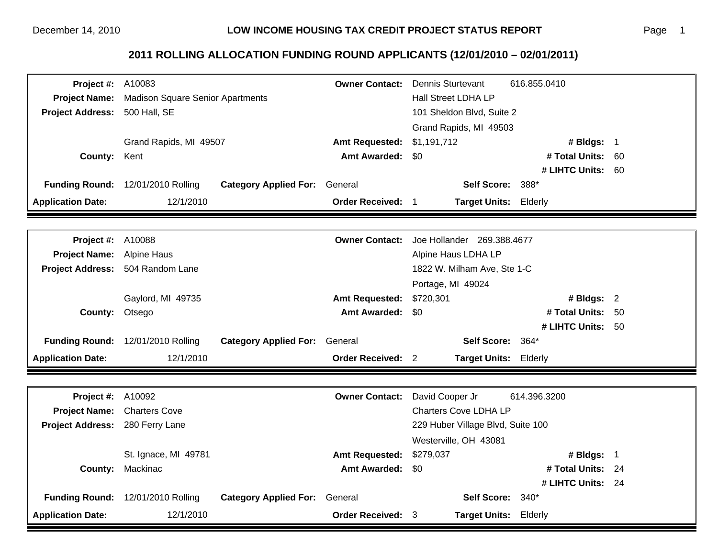| <b>Project #: A10083</b>        |                                         |                              | <b>Owner Contact:</b>    | <b>Dennis Sturtevant</b><br>616.855.0410 |                   |  |
|---------------------------------|-----------------------------------------|------------------------------|--------------------------|------------------------------------------|-------------------|--|
| <b>Project Name:</b>            | <b>Madison Square Senior Apartments</b> |                              |                          | <b>Hall Street LDHA LP</b>               |                   |  |
| <b>Project Address:</b>         | 500 Hall, SE                            |                              |                          | 101 Sheldon Blvd, Suite 2                |                   |  |
|                                 |                                         |                              |                          | Grand Rapids, MI 49503                   |                   |  |
|                                 | Grand Rapids, MI 49507                  |                              | <b>Amt Requested:</b>    | \$1,191,712                              | # Bldgs: 1        |  |
| County: Kent                    |                                         |                              | <b>Amt Awarded:</b>      | \$0                                      | # Total Units: 60 |  |
|                                 |                                         |                              |                          |                                          | # LIHTC Units: 60 |  |
| <b>Funding Round:</b>           | 12/01/2010 Rolling                      | <b>Category Applied For:</b> | General                  | Self Score: 388*                         |                   |  |
| <b>Application Date:</b>        | 12/1/2010                               |                              | <b>Order Received: 1</b> | <b>Target Units: Elderly</b>             |                   |  |
|                                 |                                         |                              |                          |                                          |                   |  |
| <b>Project #: A10088</b>        |                                         |                              | <b>Owner Contact:</b>    | Joe Hollander 269.388.4677               |                   |  |
| <b>Project Name:</b>            | <b>Alpine Haus</b>                      |                              |                          | Alpine Haus LDHA LP                      |                   |  |
|                                 | Project Address: 504 Random Lane        |                              |                          | 1822 W. Milham Ave, Ste 1-C              |                   |  |
|                                 |                                         |                              |                          | Portage, MI 49024                        |                   |  |
|                                 | Gaylord, MI 49735                       |                              | <b>Amt Requested:</b>    | \$720,301                                | # Bldgs: 2        |  |
| County:                         | Otsego                                  |                              | <b>Amt Awarded:</b>      | \$0                                      | # Total Units: 50 |  |
|                                 |                                         |                              |                          |                                          | # LIHTC Units: 50 |  |
|                                 | Funding Round: 12/01/2010 Rolling       | <b>Category Applied For:</b> | General                  | Self Score: 364*                         |                   |  |
| <b>Application Date:</b>        | 12/1/2010                               |                              | <b>Order Received: 2</b> | <b>Target Units: Elderly</b>             |                   |  |
|                                 |                                         |                              |                          |                                          |                   |  |
| <b>Project #: A10092</b>        |                                         |                              | <b>Owner Contact:</b>    | David Cooper Jr                          | 614.396.3200      |  |
| <b>Project Name:</b>            | <b>Charters Cove</b>                    |                              |                          | <b>Charters Cove LDHA LP</b>             |                   |  |
| Project Address: 280 Ferry Lane |                                         |                              |                          | 229 Huber Village Blvd, Suite 100        |                   |  |
|                                 |                                         |                              |                          | Westerville, OH 43081                    |                   |  |
|                                 | St. Ignace, MI 49781                    |                              | <b>Amt Requested:</b>    | \$279,037                                | # Bldgs: 1        |  |
| County:                         | Mackinac                                |                              | <b>Amt Awarded:</b>      | \$0                                      | # Total Units: 24 |  |
|                                 |                                         |                              |                          | # LIHTC Units: 24                        |                   |  |
| <b>Funding Round:</b>           | 12/01/2010 Rolling                      | <b>Category Applied For:</b> | General                  | Self Score: 340*                         |                   |  |
| <b>Application Date:</b>        | 12/1/2010                               |                              | Order Received: 3        | <b>Target Units:</b>                     | Elderly           |  |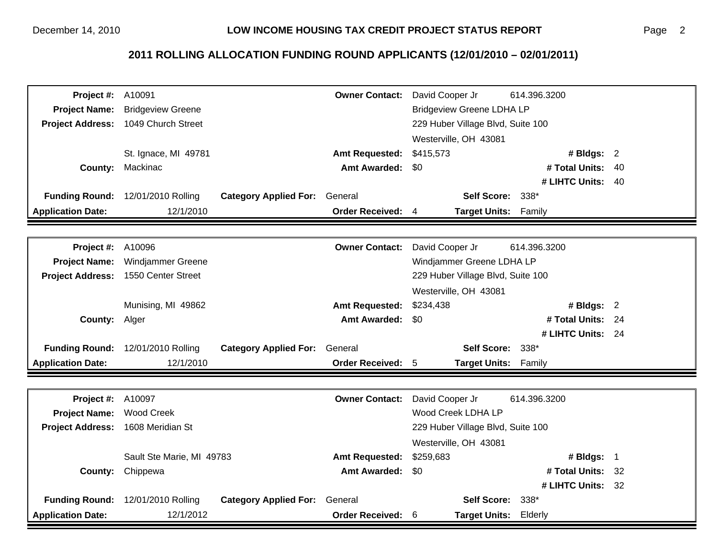| <b>Project #: A10091</b> |                                     |                              | <b>Owner Contact:</b>    | David Cooper Jr                   | 614.396.3200      |  |  |
|--------------------------|-------------------------------------|------------------------------|--------------------------|-----------------------------------|-------------------|--|--|
| <b>Project Name:</b>     | <b>Bridgeview Greene</b>            |                              |                          | <b>Bridgeview Greene LDHA LP</b>  |                   |  |  |
| <b>Project Address:</b>  | 1049 Church Street                  |                              |                          | 229 Huber Village Blvd, Suite 100 |                   |  |  |
|                          |                                     |                              |                          | Westerville, OH 43081             |                   |  |  |
|                          | St. Ignace, MI 49781                |                              | <b>Amt Requested:</b>    | \$415,573                         | # Bldgs: $2$      |  |  |
| <b>County:</b>           | Mackinac                            |                              | <b>Amt Awarded:</b>      | \$0                               | # Total Units: 40 |  |  |
|                          |                                     |                              |                          |                                   | # LIHTC Units: 40 |  |  |
|                          | Funding Round: 12/01/2010 Rolling   | <b>Category Applied For:</b> | General                  | <b>Self Score:</b>                | 338*              |  |  |
| <b>Application Date:</b> | 12/1/2010                           |                              | Order Received: 4        | <b>Target Units:</b>              | Family            |  |  |
|                          |                                     |                              |                          |                                   |                   |  |  |
| <b>Project #: A10096</b> |                                     |                              | <b>Owner Contact:</b>    | David Cooper Jr                   | 614.396.3200      |  |  |
| <b>Project Name:</b>     | <b>Windjammer Greene</b>            |                              |                          | Windjammer Greene LDHA LP         |                   |  |  |
|                          | Project Address: 1550 Center Street |                              |                          | 229 Huber Village Blvd, Suite 100 |                   |  |  |
|                          |                                     |                              |                          | Westerville, OH 43081             |                   |  |  |
|                          | Munising, MI 49862                  |                              | <b>Amt Requested:</b>    | \$234,438                         | # Bldgs: $2$      |  |  |
| County: Alger            |                                     |                              | Amt Awarded: \$0         |                                   | # Total Units: 24 |  |  |
|                          |                                     |                              |                          |                                   | # LIHTC Units: 24 |  |  |
|                          | Funding Round: 12/01/2010 Rolling   | <b>Category Applied For:</b> | General                  | Self Score: 338*                  |                   |  |  |
| <b>Application Date:</b> | 12/1/2010                           |                              | Order Received: 5        | Target Units: Family              |                   |  |  |
|                          |                                     |                              |                          |                                   |                   |  |  |
| <b>Project #: A10097</b> |                                     |                              | <b>Owner Contact:</b>    | David Cooper Jr                   | 614.396.3200      |  |  |
| Project Name: Wood Creek |                                     |                              |                          | Wood Creek LDHA LP                |                   |  |  |
|                          | Project Address: 1608 Meridian St   |                              |                          | 229 Huber Village Blvd, Suite 100 |                   |  |  |
|                          |                                     |                              |                          | Westerville, OH 43081             |                   |  |  |
|                          | Sault Ste Marie, MI 49783           |                              | <b>Amt Requested:</b>    | \$259,683                         | # Bldgs: 1        |  |  |
|                          | <b>County: Chippewa</b>             |                              | <b>Amt Awarded:</b>      | \$0                               | # Total Units: 32 |  |  |
|                          |                                     |                              |                          |                                   | # LIHTC Units: 32 |  |  |
| <b>Funding Round:</b>    | 12/01/2010 Rolling                  | <b>Category Applied For:</b> | General                  | <b>Self Score:</b>                | 338*              |  |  |
| <b>Application Date:</b> | 12/1/2012                           |                              | <b>Order Received: 6</b> | <b>Target Units:</b>              | Elderly           |  |  |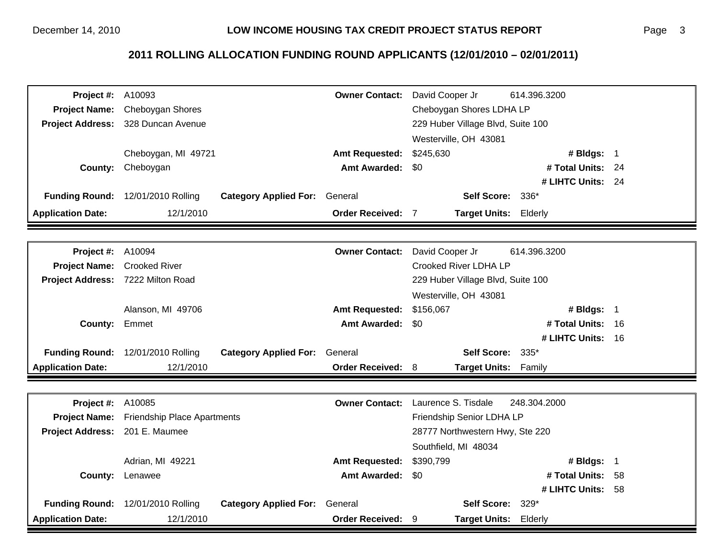| <b>Project #: A10093</b> |                                    |                              | <b>Owner Contact:</b>  | David Cooper Jr                   | 614.396.3200      |      |
|--------------------------|------------------------------------|------------------------------|------------------------|-----------------------------------|-------------------|------|
| <b>Project Name:</b>     | Cheboygan Shores                   |                              |                        | Cheboygan Shores LDHA LP          |                   |      |
| <b>Project Address:</b>  | 328 Duncan Avenue                  |                              |                        | 229 Huber Village Blvd, Suite 100 |                   |      |
|                          |                                    |                              |                        | Westerville, OH 43081             |                   |      |
|                          | Cheboygan, MI 49721                |                              | <b>Amt Requested:</b>  | \$245,630                         | # Bldgs: 1        |      |
|                          | County: Cheboygan                  |                              | <b>Amt Awarded:</b>    | <b>SO</b>                         | # Total Units: 24 |      |
|                          |                                    |                              |                        |                                   | # LIHTC Units: 24 |      |
| <b>Funding Round:</b>    | 12/01/2010 Rolling                 | <b>Category Applied For:</b> | General                | <b>Self Score:</b>                | 336*              |      |
| <b>Application Date:</b> | 12/1/2010                          |                              | Order Received: 7      | <b>Target Units: Elderly</b>      |                   |      |
|                          |                                    |                              |                        |                                   |                   |      |
| Project #:               | A10094                             |                              | <b>Owner Contact:</b>  | David Cooper Jr                   | 614.396.3200      |      |
| <b>Project Name:</b>     | <b>Crooked River</b>               |                              |                        | <b>Crooked River LDHA LP</b>      |                   |      |
|                          | Project Address: 7222 Milton Road  |                              |                        | 229 Huber Village Blvd, Suite 100 |                   |      |
|                          |                                    |                              |                        | Westerville, OH 43081             |                   |      |
|                          | Alanson, MI 49706                  |                              | <b>Amt Requested:</b>  | \$156,067<br># Bldgs: 1           |                   |      |
| County:                  | Emmet                              |                              | <b>Amt Awarded:</b>    | \$0                               | # Total Units:    | - 16 |
|                          |                                    |                              |                        |                                   | # LIHTC Units: 16 |      |
| <b>Funding Round:</b>    | 12/01/2010 Rolling                 | <b>Category Applied For:</b> | General                | <b>Self Score:</b>                | 335*              |      |
| <b>Application Date:</b> | 12/1/2010                          |                              | <b>Order Received:</b> | <b>Target Units:</b><br>8         | Family            |      |
|                          |                                    |                              |                        |                                   |                   |      |
| Project #:               | A10085                             |                              | <b>Owner Contact:</b>  | Laurence S. Tisdale               | 248.304.2000      |      |
| <b>Project Name:</b>     | <b>Friendship Place Apartments</b> |                              |                        | Friendship Senior LDHA LP         |                   |      |
| <b>Project Address:</b>  | 201 E. Maumee                      |                              |                        | 28777 Northwestern Hwy, Ste 220   |                   |      |
|                          |                                    |                              |                        | Southfield, MI 48034              |                   |      |
|                          | Adrian, MI 49221                   |                              | <b>Amt Requested:</b>  | \$390,799                         | # Bldgs: 1        |      |
| County:                  | Lenawee                            |                              | <b>Amt Awarded:</b>    | \$0                               | # Total Units: 58 |      |
|                          |                                    |                              |                        |                                   | # LIHTC Units: 58 |      |
| <b>Funding Round:</b>    | 12/01/2010 Rolling                 | <b>Category Applied For:</b> | General                | <b>Self Score:</b>                | 329*              |      |
| <b>Application Date:</b> | 12/1/2010                          |                              | Order Received: 9      | <b>Target Units:</b>              | Elderly           |      |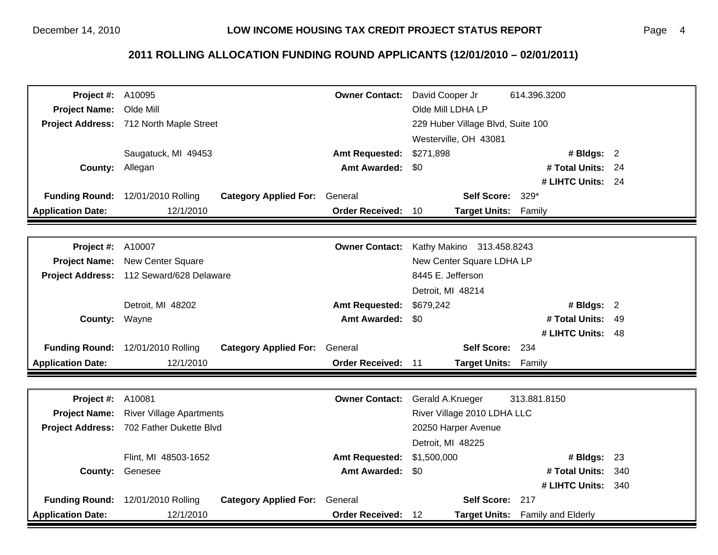| <b>Project #: A10095</b> |                                          |                                      |                        | Owner Contact: David Cooper Jr    | 614.396.3200                     |     |
|--------------------------|------------------------------------------|--------------------------------------|------------------------|-----------------------------------|----------------------------------|-----|
| Project Name: Olde Mill  |                                          |                                      |                        | Olde Mill LDHA LP                 |                                  |     |
|                          | Project Address: 712 North Maple Street  |                                      |                        | 229 Huber Village Blvd, Suite 100 |                                  |     |
|                          |                                          |                                      |                        | Westerville, OH 43081             |                                  |     |
|                          | Saugatuck, MI 49453                      |                                      | <b>Amt Requested:</b>  | \$271,898                         | # Bldgs: 2                       |     |
| <b>County: Allegan</b>   |                                          |                                      | <b>Amt Awarded:</b>    | \$0                               | # Total Units: 24                |     |
|                          |                                          |                                      |                        |                                   | # LIHTC Units: 24                |     |
|                          | Funding Round: 12/01/2010 Rolling        | <b>Category Applied For: General</b> |                        | <b>Self Score:</b>                | 329*                             |     |
| <b>Application Date:</b> | 12/1/2010                                |                                      | <b>Order Received:</b> | 10<br>Target Units: Family        |                                  |     |
|                          |                                          |                                      |                        |                                   |                                  |     |
| <b>Project #: A10007</b> |                                          |                                      | <b>Owner Contact:</b>  | Kathy Makino 313.458.8243         |                                  |     |
|                          | Project Name: New Center Square          |                                      |                        | New Center Square LDHA LP         |                                  |     |
|                          | Project Address: 112 Seward/628 Delaware |                                      |                        | 8445 E. Jefferson                 |                                  |     |
|                          |                                          |                                      |                        | Detroit, MI 48214                 |                                  |     |
|                          | Detroit, MI 48202                        |                                      | <b>Amt Requested:</b>  | \$679,242<br># Bldgs: $2$         |                                  |     |
| County: Wayne            |                                          |                                      | Amt Awarded: \$0       |                                   | # Total Units: 49                |     |
|                          |                                          |                                      |                        | # LIHTC Units: 48                 |                                  |     |
|                          | Funding Round: 12/01/2010 Rolling        | <b>Category Applied For:</b>         | General                | Self Score: 234                   |                                  |     |
| <b>Application Date:</b> | 12/1/2010                                |                                      | <b>Order Received:</b> | 11<br>Target Units: Family        |                                  |     |
|                          |                                          |                                      |                        |                                   |                                  |     |
| Project #:               | A10081                                   |                                      | <b>Owner Contact:</b>  | Gerald A.Krueger                  | 313.881.8150                     |     |
|                          | Project Name: River Village Apartments   |                                      |                        | River Village 2010 LDHA LLC       |                                  |     |
|                          | Project Address: 702 Father Dukette Blvd |                                      |                        | 20250 Harper Avenue               |                                  |     |
|                          |                                          |                                      |                        | Detroit, MI 48225                 |                                  |     |
|                          | Flint, MI 48503-1652                     |                                      | <b>Amt Requested:</b>  | \$1,500,000                       | # Bldgs: $23$                    |     |
|                          | <b>County: Genesee</b>                   |                                      | <b>Amt Awarded:</b>    | \$0                               | # Total Units:                   | 340 |
|                          |                                          |                                      |                        |                                   | # LIHTC Units: 340               |     |
|                          | Funding Round: 12/01/2010 Rolling        | <b>Category Applied For:</b>         | General                | Self Score: 217                   |                                  |     |
| <b>Application Date:</b> | 12/1/2010                                |                                      | <b>Order Received:</b> | 12                                | Target Units: Family and Elderly |     |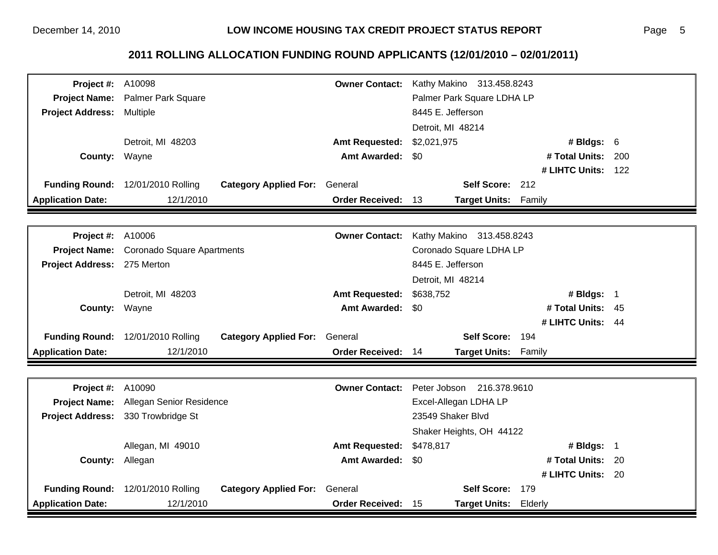| <b>Project #: A10098</b> | <b>Owner Contact:</b><br>Kathy Makino 313.458.8243 |                                                   |                        |                          |                            |                    |     |  |
|--------------------------|----------------------------------------------------|---------------------------------------------------|------------------------|--------------------------|----------------------------|--------------------|-----|--|
| <b>Project Name:</b>     | <b>Palmer Park Square</b>                          |                                                   |                        |                          | Palmer Park Square LDHA LP |                    |     |  |
| <b>Project Address:</b>  | Multiple                                           |                                                   |                        |                          | 8445 E. Jefferson          |                    |     |  |
|                          |                                                    |                                                   |                        | Detroit, MI 48214        |                            |                    |     |  |
|                          | Detroit, MI 48203                                  |                                                   | <b>Amt Requested:</b>  | \$2,021,975              |                            | # Bldgs: 6         |     |  |
| County:                  | Wayne                                              |                                                   | <b>Amt Awarded:</b>    | \$0                      |                            | # Total Units:     | 200 |  |
|                          |                                                    |                                                   |                        |                          |                            | # LIHTC Units: 122 |     |  |
|                          | Funding Round: 12/01/2010 Rolling                  | <b>Category Applied For: General</b>              |                        |                          | Self Score: 212            |                    |     |  |
| <b>Application Date:</b> | 12/1/2010                                          |                                                   | <b>Order Received:</b> | 13                       | <b>Target Units:</b>       | Family             |     |  |
|                          |                                                    |                                                   |                        |                          |                            |                    |     |  |
| <b>Project #: A10006</b> |                                                    |                                                   | <b>Owner Contact:</b>  |                          | Kathy Makino 313.458.8243  |                    |     |  |
| <b>Project Name:</b>     | <b>Coronado Square Apartments</b>                  |                                                   |                        |                          | Coronado Square LDHA LP    |                    |     |  |
| <b>Project Address:</b>  | 275 Merton                                         |                                                   |                        | 8445 E. Jefferson        |                            |                    |     |  |
|                          |                                                    |                                                   |                        | Detroit, MI 48214        |                            |                    |     |  |
|                          | Detroit, MI 48203                                  |                                                   | <b>Amt Requested:</b>  | \$638,752<br># Bldgs: 1  |                            |                    |     |  |
| County: Wayne            |                                                    |                                                   | <b>Amt Awarded:</b>    | # Total Units: 45<br>\$0 |                            |                    |     |  |
|                          |                                                    |                                                   |                        | # LIHTC Units: 44        |                            |                    |     |  |
| <b>Funding Round:</b>    | 12/01/2010 Rolling                                 | <b>Category Applied For:</b>                      | General                |                          | Self Score: 194            |                    |     |  |
| <b>Application Date:</b> | 12/1/2010                                          |                                                   | <b>Order Received:</b> | 14                       | Target Units: Family       |                    |     |  |
|                          |                                                    |                                                   |                        |                          |                            |                    |     |  |
| Project #:               | A10090                                             |                                                   | <b>Owner Contact:</b>  | Peter Jobson             | 216.378.9610               |                    |     |  |
| <b>Project Name:</b>     |                                                    | Allegan Senior Residence<br>Excel-Allegan LDHA LP |                        |                          |                            |                    |     |  |
| <b>Project Address:</b>  | 330 Trowbridge St                                  |                                                   |                        | 23549 Shaker Blvd        |                            |                    |     |  |
|                          |                                                    |                                                   |                        | Shaker Heights, OH 44122 |                            |                    |     |  |
|                          | Allegan, MI 49010                                  |                                                   | <b>Amt Requested:</b>  | \$478,817                |                            | # Bldgs: 1         |     |  |
| County:                  | Allegan                                            |                                                   | <b>Amt Awarded:</b>    | \$0                      |                            | # Total Units:     | -20 |  |
|                          |                                                    |                                                   |                        |                          |                            | # LIHTC Units: 20  |     |  |
|                          | Funding Round: 12/01/2010 Rolling                  | <b>Category Applied For:</b>                      | General                |                          | <b>Self Score:</b>         | 179                |     |  |
| <b>Application Date:</b> | 12/1/2010                                          |                                                   | <b>Order Received:</b> | -15                      | Target Units: Elderly      |                    |     |  |